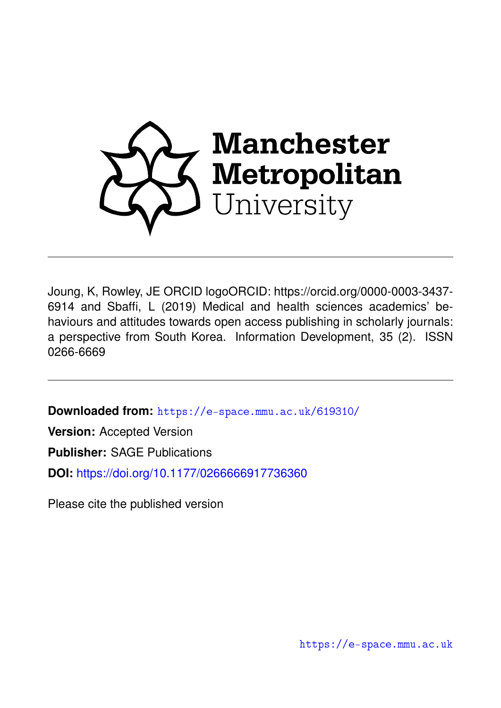

Joung, K, Rowley, JE ORCID logoORCID: https://orcid.org/0000-0003-3437- 6914 and Sbaffi, L (2019) Medical and health sciences academics' behaviours and attitudes towards open access publishing in scholarly journals: a perspective from South Korea. Information Development, 35 (2). ISSN 0266-6669

**Downloaded from:** <https://e-space.mmu.ac.uk/619310/>

**Version:** Accepted Version

**Publisher:** SAGE Publications

**DOI:** <https://doi.org/10.1177/0266666917736360>

Please cite the published version

<https://e-space.mmu.ac.uk>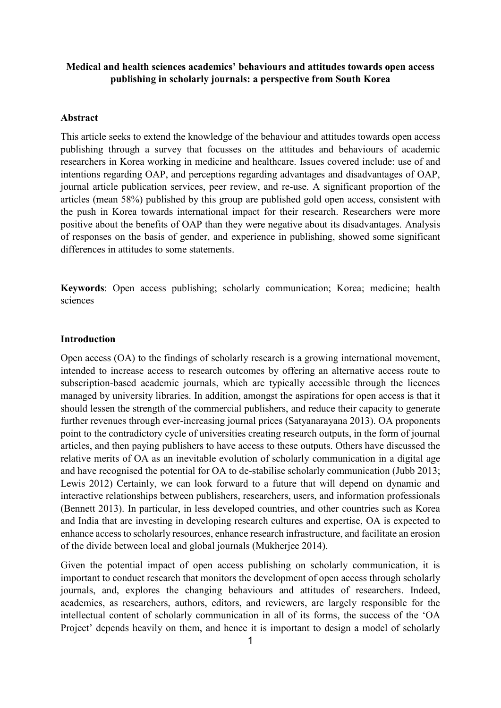## **Medical and health sciences academics' behaviours and attitudes towards open access publishing in scholarly journals: a perspective from South Korea**

## **Abstract**

This article seeks to extend the knowledge of the behaviour and attitudes towards open access publishing through a survey that focusses on the attitudes and behaviours of academic researchers in Korea working in medicine and healthcare. Issues covered include: use of and intentions regarding OAP, and perceptions regarding advantages and disadvantages of OAP, journal article publication services, peer review, and re-use. A significant proportion of the articles (mean 58%) published by this group are published gold open access, consistent with the push in Korea towards international impact for their research. Researchers were more positive about the benefits of OAP than they were negative about its disadvantages. Analysis of responses on the basis of gender, and experience in publishing, showed some significant differences in attitudes to some statements.

**Keywords**: Open access publishing; scholarly communication; Korea; medicine; health sciences

### **Introduction**

Open access (OA) to the findings of scholarly research is a growing international movement, intended to increase access to research outcomes by offering an alternative access route to subscription-based academic journals, which are typically accessible through the licences managed by university libraries. In addition, amongst the aspirations for open access is that it should lessen the strength of the commercial publishers, and reduce their capacity to generate further revenues through ever-increasing journal prices (Satyanarayana 2013). OA proponents point to the contradictory cycle of universities creating research outputs, in the form of journal articles, and then paying publishers to have access to these outputs. Others have discussed the relative merits of OA as an inevitable evolution of scholarly communication in a digital age and have recognised the potential for OA to de-stabilise scholarly communication (Jubb 2013; Lewis 2012) Certainly, we can look forward to a future that will depend on dynamic and interactive relationships between publishers, researchers, users, and information professionals (Bennett 2013). In particular, in less developed countries, and other countries such as Korea and India that are investing in developing research cultures and expertise, OA is expected to enhance access to scholarly resources, enhance research infrastructure, and facilitate an erosion of the divide between local and global journals (Mukherjee 2014).

Given the potential impact of open access publishing on scholarly communication, it is important to conduct research that monitors the development of open access through scholarly journals, and, explores the changing behaviours and attitudes of researchers. Indeed, academics, as researchers, authors, editors, and reviewers, are largely responsible for the intellectual content of scholarly communication in all of its forms, the success of the 'OA Project' depends heavily on them, and hence it is important to design a model of scholarly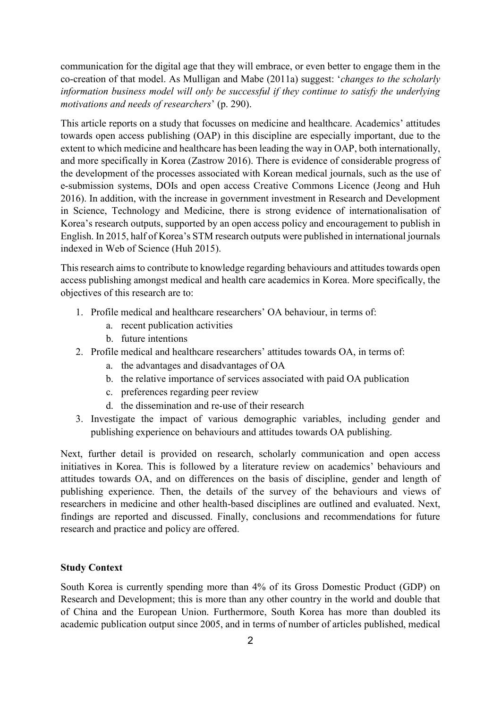communication for the digital age that they will embrace, or even better to engage them in the co-creation of that model. As Mulligan and Mabe (2011a) suggest: '*changes to the scholarly information business model will only be successful if they continue to satisfy the underlying motivations and needs of researchers*' (p. 290).

This article reports on a study that focusses on medicine and healthcare. Academics' attitudes towards open access publishing (OAP) in this discipline are especially important, due to the extent to which medicine and healthcare has been leading the way in OAP, both internationally, and more specifically in Korea (Zastrow 2016). There is evidence of considerable progress of the development of the processes associated with Korean medical journals, such as the use of e-submission systems, DOIs and open access Creative Commons Licence (Jeong and Huh 2016). In addition, with the increase in government investment in Research and Development in Science, Technology and Medicine, there is strong evidence of internationalisation of Korea's research outputs, supported by an open access policy and encouragement to publish in English. In 2015, half of Korea's STM research outputs were published in international journals indexed in Web of Science (Huh 2015).

This research aims to contribute to knowledge regarding behaviours and attitudes towards open access publishing amongst medical and health care academics in Korea. More specifically, the objectives of this research are to:

- 1. Profile medical and healthcare researchers' OA behaviour, in terms of:
	- a. recent publication activities
	- b. future intentions
- 2. Profile medical and healthcare researchers' attitudes towards OA, in terms of:
	- a. the advantages and disadvantages of OA
	- b. the relative importance of services associated with paid OA publication
	- c. preferences regarding peer review
	- d. the dissemination and re-use of their research
- 3. Investigate the impact of various demographic variables, including gender and publishing experience on behaviours and attitudes towards OA publishing.

Next, further detail is provided on research, scholarly communication and open access initiatives in Korea. This is followed by a literature review on academics' behaviours and attitudes towards OA, and on differences on the basis of discipline, gender and length of publishing experience. Then, the details of the survey of the behaviours and views of researchers in medicine and other health-based disciplines are outlined and evaluated. Next, findings are reported and discussed. Finally, conclusions and recommendations for future research and practice and policy are offered.

## **Study Context**

South Korea is currently spending more than 4% of its Gross Domestic Product (GDP) on Research and Development; this is more than any other country in the world and double that of China and the European Union. Furthermore, South Korea has more than doubled its academic publication output since 2005, and in terms of number of articles published, medical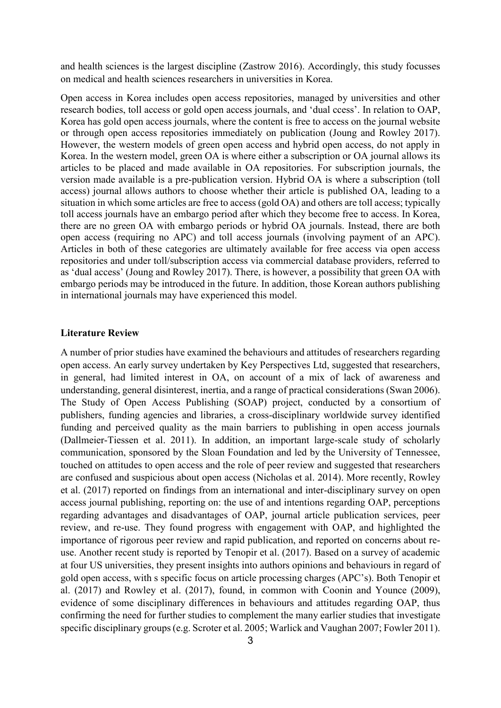and health sciences is the largest discipline (Zastrow 2016). Accordingly, this study focusses on medical and health sciences researchers in universities in Korea.

Open access in Korea includes open access repositories, managed by universities and other research bodies, toll access or gold open access journals, and 'dual ccess'. In relation to OAP, Korea has gold open access journals, where the content is free to access on the journal website or through open access repositories immediately on publication (Joung and Rowley 2017). However, the western models of green open access and hybrid open access, do not apply in Korea. In the western model, green OA is where either a subscription or OA journal allows its articles to be placed and made available in OA repositories. For subscription journals, the version made available is a pre-publication version. Hybrid OA is where a subscription (toll access) journal allows authors to choose whether their article is published OA, leading to a situation in which some articles are free to access (gold OA) and others are toll access; typically toll access journals have an embargo period after which they become free to access. In Korea, there are no green OA with embargo periods or hybrid OA journals. Instead, there are both open access (requiring no APC) and toll access journals (involving payment of an APC). Articles in both of these categories are ultimately available for free access via open access repositories and under toll/subscription access via commercial database providers, referred to as 'dual access' (Joung and Rowley 2017). There, is however, a possibility that green OA with embargo periods may be introduced in the future. In addition, those Korean authors publishing in international journals may have experienced this model.

#### **Literature Review**

A number of prior studies have examined the behaviours and attitudes of researchers regarding open access. An early survey undertaken by Key Perspectives Ltd, suggested that researchers, in general, had limited interest in OA, on account of a mix of lack of awareness and understanding, general disinterest, inertia, and a range of practical considerations (Swan 2006). The Study of Open Access Publishing (SOAP) project, conducted by a consortium of publishers, funding agencies and libraries, a cross-disciplinary worldwide survey identified funding and perceived quality as the main barriers to publishing in open access journals (Dallmeier-Tiessen et al. 2011). In addition, an important large-scale study of scholarly communication, sponsored by the Sloan Foundation and led by the University of Tennessee, touched on attitudes to open access and the role of peer review and suggested that researchers are confused and suspicious about open access (Nicholas et al. 2014). More recently, Rowley et al. (2017) reported on findings from an international and inter-disciplinary survey on open access journal publishing, reporting on: the use of and intentions regarding OAP, perceptions regarding advantages and disadvantages of OAP, journal article publication services, peer review, and re-use. They found progress with engagement with OAP, and highlighted the importance of rigorous peer review and rapid publication, and reported on concerns about reuse. Another recent study is reported by Tenopir et al. (2017). Based on a survey of academic at four US universities, they present insights into authors opinions and behaviours in regard of gold open access, with s specific focus on article processing charges (APC's). Both Tenopir et al. (2017) and Rowley et al. (2017), found, in common with Coonin and Younce (2009), evidence of some disciplinary differences in behaviours and attitudes regarding OAP, thus confirming the need for further studies to complement the many earlier studies that investigate specific disciplinary groups (e.g. Scroter et al. 2005; Warlick and Vaughan 2007; Fowler 2011).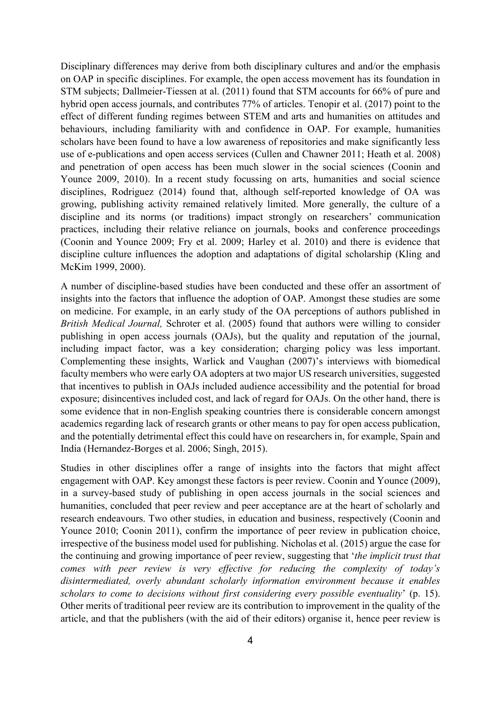Disciplinary differences may derive from both disciplinary cultures and and/or the emphasis on OAP in specific disciplines. For example, the open access movement has its foundation in STM subjects; Dallmeier-Tiessen at al. (2011) found that STM accounts for 66% of pure and hybrid open access journals, and contributes 77% of articles. Tenopir et al. (2017) point to the effect of different funding regimes between STEM and arts and humanities on attitudes and behaviours, including familiarity with and confidence in OAP. For example, humanities scholars have been found to have a low awareness of repositories and make significantly less use of e-publications and open access services (Cullen and Chawner 2011; Heath et al. 2008) and penetration of open access has been much slower in the social sciences (Coonin and Younce 2009, 2010). In a recent study focussing on arts, humanities and social science disciplines, Rodriguez (2014) found that, although self-reported knowledge of OA was growing, publishing activity remained relatively limited. More generally, the culture of a discipline and its norms (or traditions) impact strongly on researchers' communication practices, including their relative reliance on journals, books and conference proceedings (Coonin and Younce 2009; Fry et al. 2009; Harley et al. 2010) and there is evidence that discipline culture influences the adoption and adaptations of digital scholarship (Kling and McKim 1999, 2000).

A number of discipline-based studies have been conducted and these offer an assortment of insights into the factors that influence the adoption of OAP. Amongst these studies are some on medicine. For example, in an early study of the OA perceptions of authors published in *British Medical Journal,* Schroter et al. (2005) found that authors were willing to consider publishing in open access journals (OAJs), but the quality and reputation of the journal, including impact factor, was a key consideration; charging policy was less important. Complementing these insights, Warlick and Vaughan (2007)'s interviews with biomedical faculty members who were early OA adopters at two major US research universities, suggested that incentives to publish in OAJs included audience accessibility and the potential for broad exposure; disincentives included cost, and lack of regard for OAJs. On the other hand, there is some evidence that in non-English speaking countries there is considerable concern amongst academics regarding lack of research grants or other means to pay for open access publication, and the potentially detrimental effect this could have on researchers in, for example, Spain and India (Hernandez-Borges et al. 2006; Singh, 2015).

Studies in other disciplines offer a range of insights into the factors that might affect engagement with OAP. Key amongst these factors is peer review. Coonin and Younce (2009), in a survey-based study of publishing in open access journals in the social sciences and humanities, concluded that peer review and peer acceptance are at the heart of scholarly and research endeavours. Two other studies, in education and business, respectively (Coonin and Younce 2010; Coonin 2011), confirm the importance of peer review in publication choice, irrespective of the business model used for publishing. Nicholas et al. (2015) argue the case for the continuing and growing importance of peer review, suggesting that '*the implicit trust that comes with peer review is very effective for reducing the complexity of today's disintermediated, overly abundant scholarly information environment because it enables scholars to come to decisions without first considering every possible eventuality*' (p. 15). Other merits of traditional peer review are its contribution to improvement in the quality of the article, and that the publishers (with the aid of their editors) organise it, hence peer review is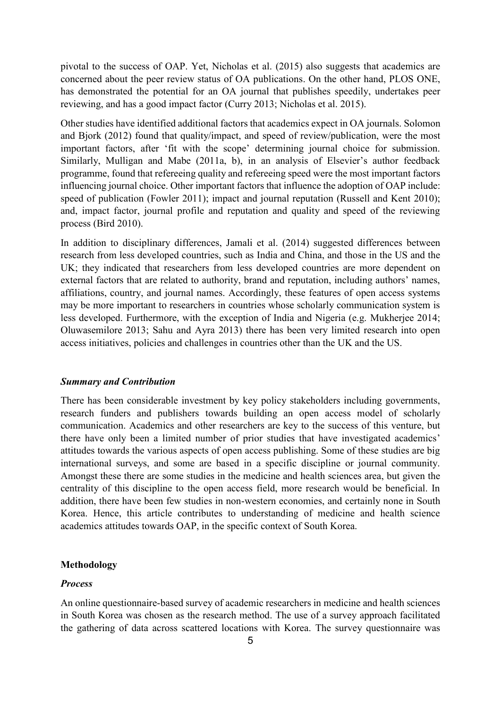pivotal to the success of OAP. Yet, Nicholas et al. (2015) also suggests that academics are concerned about the peer review status of OA publications. On the other hand, PLOS ONE, has demonstrated the potential for an OA journal that publishes speedily, undertakes peer reviewing, and has a good impact factor (Curry 2013; Nicholas et al. 2015).

Other studies have identified additional factors that academics expect in OA journals. Solomon and Bjork (2012) found that quality/impact, and speed of review/publication, were the most important factors, after 'fit with the scope' determining journal choice for submission. Similarly, Mulligan and Mabe (2011a, b), in an analysis of Elsevier's author feedback programme, found that refereeing quality and refereeing speed were the most important factors influencing journal choice. Other important factors that influence the adoption of OAP include: speed of publication (Fowler 2011); impact and journal reputation (Russell and Kent 2010); and, impact factor, journal profile and reputation and quality and speed of the reviewing process (Bird 2010).

In addition to disciplinary differences, Jamali et al. (2014) suggested differences between research from less developed countries, such as India and China, and those in the US and the UK; they indicated that researchers from less developed countries are more dependent on external factors that are related to authority, brand and reputation, including authors' names, affiliations, country, and journal names. Accordingly, these features of open access systems may be more important to researchers in countries whose scholarly communication system is less developed. Furthermore, with the exception of India and Nigeria (e.g. Mukherjee 2014; Oluwasemilore 2013; Sahu and Ayra 2013) there has been very limited research into open access initiatives, policies and challenges in countries other than the UK and the US.

## *Summary and Contribution*

There has been considerable investment by key policy stakeholders including governments, research funders and publishers towards building an open access model of scholarly communication. Academics and other researchers are key to the success of this venture, but there have only been a limited number of prior studies that have investigated academics' attitudes towards the various aspects of open access publishing. Some of these studies are big international surveys, and some are based in a specific discipline or journal community. Amongst these there are some studies in the medicine and health sciences area, but given the centrality of this discipline to the open access field, more research would be beneficial. In addition, there have been few studies in non-western economies, and certainly none in South Korea. Hence, this article contributes to understanding of medicine and health science academics attitudes towards OAP, in the specific context of South Korea.

#### **Methodology**

## *Process*

An online questionnaire-based survey of academic researchers in medicine and health sciences in South Korea was chosen as the research method. The use of a survey approach facilitated the gathering of data across scattered locations with Korea. The survey questionnaire was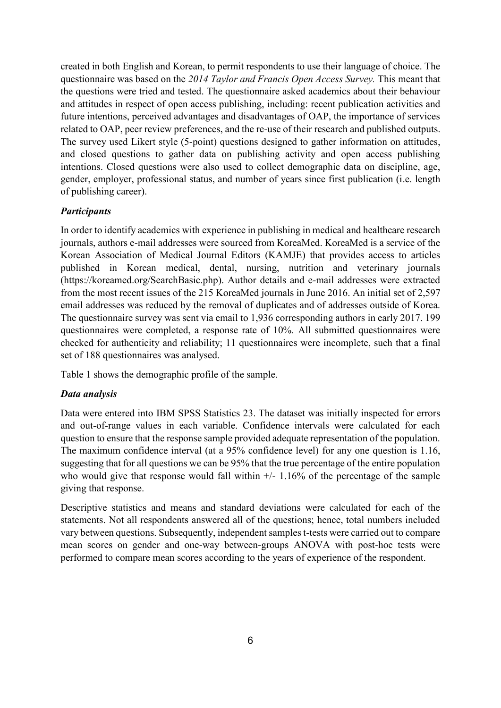created in both English and Korean, to permit respondents to use their language of choice. The questionnaire was based on the *2014 Taylor and Francis Open Access Survey.* This meant that the questions were tried and tested. The questionnaire asked academics about their behaviour and attitudes in respect of open access publishing, including: recent publication activities and future intentions, perceived advantages and disadvantages of OAP, the importance of services related to OAP, peer review preferences, and the re-use of their research and published outputs. The survey used Likert style (5-point) questions designed to gather information on attitudes, and closed questions to gather data on publishing activity and open access publishing intentions. Closed questions were also used to collect demographic data on discipline, age, gender, employer, professional status, and number of years since first publication (i.e. length of publishing career).

## *Participants*

In order to identify academics with experience in publishing in medical and healthcare research journals, authors e-mail addresses were sourced from KoreaMed. KoreaMed is a service of the Korean Association of Medical Journal Editors (KAMJE) that provides access to articles published in Korean medical, dental, nursing, nutrition and veterinary journals (https://koreamed.org/SearchBasic.php). Author details and e-mail addresses were extracted from the most recent issues of the 215 KoreaMed journals in June 2016. An initial set of 2,597 email addresses was reduced by the removal of duplicates and of addresses outside of Korea. The questionnaire survey was sent via email to 1,936 corresponding authors in early 2017. 199 questionnaires were completed, a response rate of 10%. All submitted questionnaires were checked for authenticity and reliability; 11 questionnaires were incomplete, such that a final set of 188 questionnaires was analysed.

Table 1 shows the demographic profile of the sample.

## *Data analysis*

Data were entered into IBM SPSS Statistics 23. The dataset was initially inspected for errors and out-of-range values in each variable. Confidence intervals were calculated for each question to ensure that the response sample provided adequate representation of the population. The maximum confidence interval (at a 95% confidence level) for any one question is 1.16, suggesting that for all questions we can be 95% that the true percentage of the entire population who would give that response would fall within  $+/- 1.16\%$  of the percentage of the sample giving that response.

Descriptive statistics and means and standard deviations were calculated for each of the statements. Not all respondents answered all of the questions; hence, total numbers included vary between questions. Subsequently, independent samples t-tests were carried out to compare mean scores on gender and one-way between-groups ANOVA with post-hoc tests were performed to compare mean scores according to the years of experience of the respondent.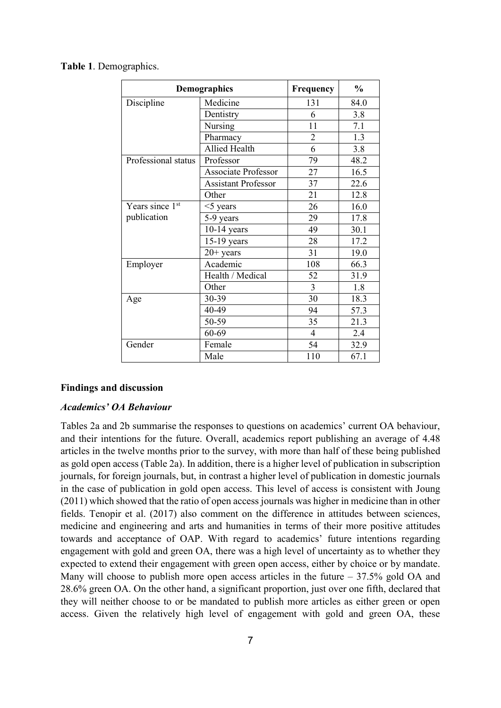|                     | <b>Demographics</b>        | Frequency      | $\frac{0}{0}$ |
|---------------------|----------------------------|----------------|---------------|
| Discipline          | Medicine                   | 131            | 84.0          |
|                     | Dentistry                  | 6              | 3.8           |
|                     | Nursing                    | 11             | 7.1           |
|                     | Pharmacy                   | $\overline{2}$ | 1.3           |
|                     | <b>Allied Health</b>       | 6              | 3.8           |
| Professional status | Professor                  | 79             | 48.2          |
|                     | <b>Associate Professor</b> | 27             | 16.5          |
|                     | <b>Assistant Professor</b> | 37             | 22.6          |
|                     | Other                      | 21             | 12.8          |
| Years since 1st     | $<$ 5 years                | 26             | 16.0          |
| publication         | 5-9 years                  | 29             | 17.8          |
|                     | $10-14$ years              | 49             | 30.1          |
|                     | 15-19 years                | 28             | 17.2          |
|                     | $20+$ years                | 31             | 19.0          |
| Employer            | Academic                   | 108            | 66.3          |
|                     | Health / Medical           | 52             | 31.9          |
|                     | Other                      | $\overline{3}$ | 1.8           |
| Age                 | 30-39                      | 30             | 18.3          |
|                     | 40-49                      | 94             | 57.3          |
|                     | 50-59                      | 35             | 21.3          |
|                     | 60-69                      | $\overline{4}$ | 2.4           |
| Gender              | Female                     | 54             | 32.9          |
|                     | Male                       | 110            | 67.1          |

### **Table 1**. Demographics.

#### **Findings and discussion**

## *Academics' OA Behaviour*

Tables 2a and 2b summarise the responses to questions on academics' current OA behaviour, and their intentions for the future. Overall, academics report publishing an average of 4.48 articles in the twelve months prior to the survey, with more than half of these being published as gold open access (Table 2a). In addition, there is a higher level of publication in subscription journals, for foreign journals, but, in contrast a higher level of publication in domestic journals in the case of publication in gold open access. This level of access is consistent with Joung (2011) which showed that the ratio of open access journals was higher in medicine than in other fields. Tenopir et al. (2017) also comment on the difference in attitudes between sciences, medicine and engineering and arts and humanities in terms of their more positive attitudes towards and acceptance of OAP. With regard to academics' future intentions regarding engagement with gold and green OA, there was a high level of uncertainty as to whether they expected to extend their engagement with green open access, either by choice or by mandate. Many will choose to publish more open access articles in the future  $-37.5\%$  gold OA and 28.6% green OA. On the other hand, a significant proportion, just over one fifth, declared that they will neither choose to or be mandated to publish more articles as either green or open access. Given the relatively high level of engagement with gold and green OA, these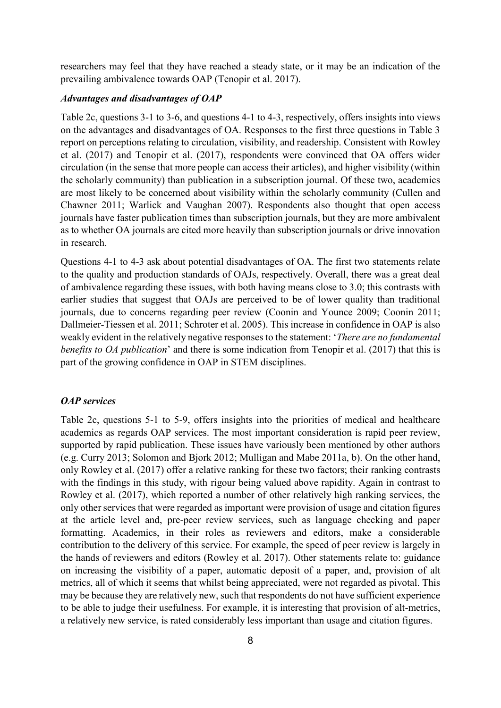researchers may feel that they have reached a steady state, or it may be an indication of the prevailing ambivalence towards OAP (Tenopir et al. 2017).

## *Advantages and disadvantages of OAP*

Table 2c, questions 3-1 to 3-6, and questions 4-1 to 4-3, respectively, offers insights into views on the advantages and disadvantages of OA. Responses to the first three questions in Table 3 report on perceptions relating to circulation, visibility, and readership. Consistent with Rowley et al. (2017) and Tenopir et al. (2017), respondents were convinced that OA offers wider circulation (in the sense that more people can access their articles), and higher visibility (within the scholarly community) than publication in a subscription journal. Of these two, academics are most likely to be concerned about visibility within the scholarly community (Cullen and Chawner 2011; Warlick and Vaughan 2007). Respondents also thought that open access journals have faster publication times than subscription journals, but they are more ambivalent as to whether OA journals are cited more heavily than subscription journals or drive innovation in research.

Questions 4-1 to 4-3 ask about potential disadvantages of OA. The first two statements relate to the quality and production standards of OAJs, respectively. Overall, there was a great deal of ambivalence regarding these issues, with both having means close to 3.0; this contrasts with earlier studies that suggest that OAJs are perceived to be of lower quality than traditional journals, due to concerns regarding peer review (Coonin and Younce 2009; Coonin 2011; Dallmeier-Tiessen et al. 2011; Schroter et al. 2005). This increase in confidence in OAP is also weakly evident in the relatively negative responses to the statement: '*There are no fundamental benefits to OA publication*' and there is some indication from Tenopir et al. (2017) that this is part of the growing confidence in OAP in STEM disciplines.

## *OAP services*

Table 2c, questions 5-1 to 5-9, offers insights into the priorities of medical and healthcare academics as regards OAP services. The most important consideration is rapid peer review, supported by rapid publication. These issues have variously been mentioned by other authors (e.g. Curry 2013; Solomon and Bjork 2012; Mulligan and Mabe 2011a, b). On the other hand, only Rowley et al. (2017) offer a relative ranking for these two factors; their ranking contrasts with the findings in this study, with rigour being valued above rapidity. Again in contrast to Rowley et al. (2017), which reported a number of other relatively high ranking services, the only other services that were regarded as important were provision of usage and citation figures at the article level and, pre-peer review services, such as language checking and paper formatting. Academics, in their roles as reviewers and editors, make a considerable contribution to the delivery of this service. For example, the speed of peer review is largely in the hands of reviewers and editors (Rowley et al. 2017). Other statements relate to: guidance on increasing the visibility of a paper, automatic deposit of a paper, and, provision of alt metrics, all of which it seems that whilst being appreciated, were not regarded as pivotal. This may be because they are relatively new, such that respondents do not have sufficient experience to be able to judge their usefulness. For example, it is interesting that provision of alt-metrics, a relatively new service, is rated considerably less important than usage and citation figures.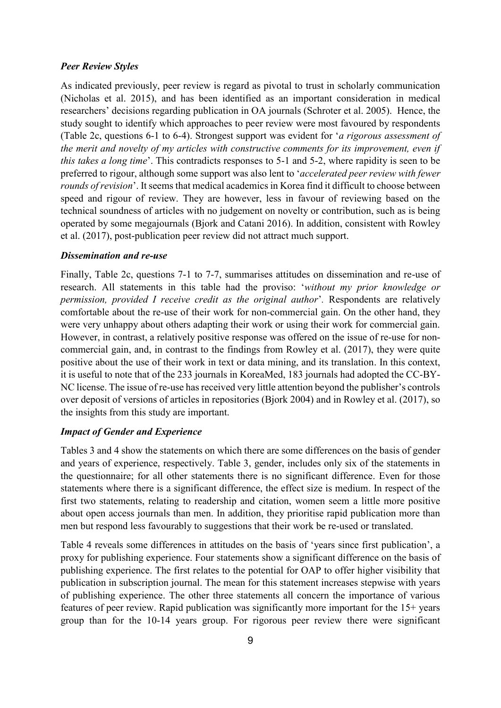### *Peer Review Styles*

As indicated previously, peer review is regard as pivotal to trust in scholarly communication (Nicholas et al. 2015), and has been identified as an important consideration in medical researchers' decisions regarding publication in OA journals (Schroter et al. 2005). Hence, the study sought to identify which approaches to peer review were most favoured by respondents (Table 2c, questions 6-1 to 6-4). Strongest support was evident for '*a rigorous assessment of the merit and novelty of my articles with constructive comments for its improvement, even if this takes a long time*'. This contradicts responses to 5-1 and 5-2, where rapidity is seen to be preferred to rigour, although some support was also lent to '*accelerated peer review with fewer rounds of revision*'. It seems that medical academics in Korea find it difficult to choose between speed and rigour of review. They are however, less in favour of reviewing based on the technical soundness of articles with no judgement on novelty or contribution, such as is being operated by some megajournals (Bjork and Catani 2016). In addition, consistent with Rowley et al. (2017), post-publication peer review did not attract much support.

#### *Dissemination and re-use*

Finally, Table 2c, questions 7-1 to 7-7, summarises attitudes on dissemination and re-use of research. All statements in this table had the proviso: '*without my prior knowledge or permission, provided I receive credit as the original author*'*.* Respondents are relatively comfortable about the re-use of their work for non-commercial gain. On the other hand, they were very unhappy about others adapting their work or using their work for commercial gain. However, in contrast, a relatively positive response was offered on the issue of re-use for noncommercial gain, and, in contrast to the findings from Rowley et al. (2017), they were quite positive about the use of their work in text or data mining, and its translation. In this context, it is useful to note that of the 233 journals in KoreaMed, 183 journals had adopted the CC-BY-NC license. The issue of re-use has received very little attention beyond the publisher's controls over deposit of versions of articles in repositories (Bjork 2004) and in Rowley et al. (2017), so the insights from this study are important.

## *Impact of Gender and Experience*

Tables 3 and 4 show the statements on which there are some differences on the basis of gender and years of experience, respectively. Table 3, gender, includes only six of the statements in the questionnaire; for all other statements there is no significant difference. Even for those statements where there is a significant difference, the effect size is medium. In respect of the first two statements, relating to readership and citation, women seem a little more positive about open access journals than men. In addition, they prioritise rapid publication more than men but respond less favourably to suggestions that their work be re-used or translated.

Table 4 reveals some differences in attitudes on the basis of 'years since first publication', a proxy for publishing experience. Four statements show a significant difference on the basis of publishing experience. The first relates to the potential for OAP to offer higher visibility that publication in subscription journal. The mean for this statement increases stepwise with years of publishing experience. The other three statements all concern the importance of various features of peer review. Rapid publication was significantly more important for the 15+ years group than for the 10-14 years group. For rigorous peer review there were significant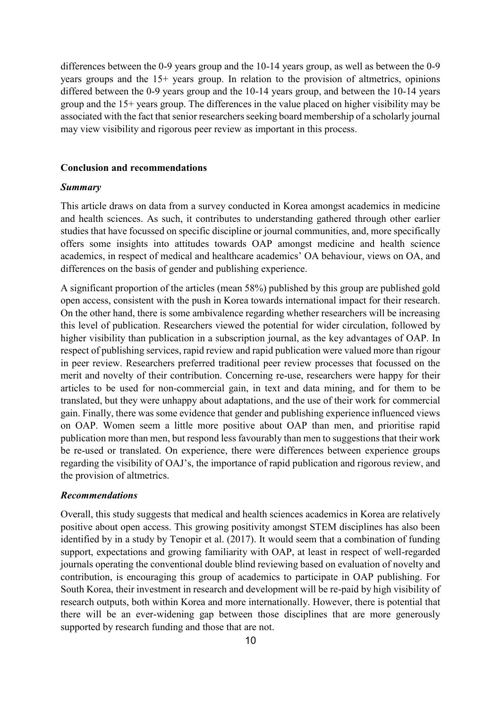differences between the 0-9 years group and the 10-14 years group, as well as between the 0-9 years groups and the 15+ years group. In relation to the provision of altmetrics, opinions differed between the 0-9 years group and the 10-14 years group, and between the 10-14 years group and the 15+ years group. The differences in the value placed on higher visibility may be associated with the fact that senior researchers seeking board membership of a scholarly journal may view visibility and rigorous peer review as important in this process.

#### **Conclusion and recommendations**

#### *Summary*

This article draws on data from a survey conducted in Korea amongst academics in medicine and health sciences. As such, it contributes to understanding gathered through other earlier studies that have focussed on specific discipline or journal communities, and, more specifically offers some insights into attitudes towards OAP amongst medicine and health science academics, in respect of medical and healthcare academics' OA behaviour, views on OA, and differences on the basis of gender and publishing experience.

A significant proportion of the articles (mean 58%) published by this group are published gold open access, consistent with the push in Korea towards international impact for their research. On the other hand, there is some ambivalence regarding whether researchers will be increasing this level of publication. Researchers viewed the potential for wider circulation, followed by higher visibility than publication in a subscription journal, as the key advantages of OAP. In respect of publishing services, rapid review and rapid publication were valued more than rigour in peer review. Researchers preferred traditional peer review processes that focussed on the merit and novelty of their contribution. Concerning re-use, researchers were happy for their articles to be used for non-commercial gain, in text and data mining, and for them to be translated, but they were unhappy about adaptations, and the use of their work for commercial gain. Finally, there was some evidence that gender and publishing experience influenced views on OAP. Women seem a little more positive about OAP than men, and prioritise rapid publication more than men, but respond less favourably than men to suggestions that their work be re-used or translated. On experience, there were differences between experience groups regarding the visibility of OAJ's, the importance of rapid publication and rigorous review, and the provision of altmetrics.

#### *Recommendations*

Overall, this study suggests that medical and health sciences academics in Korea are relatively positive about open access. This growing positivity amongst STEM disciplines has also been identified by in a study by Tenopir et al. (2017). It would seem that a combination of funding support, expectations and growing familiarity with OAP, at least in respect of well-regarded journals operating the conventional double blind reviewing based on evaluation of novelty and contribution, is encouraging this group of academics to participate in OAP publishing. For South Korea, their investment in research and development will be re-paid by high visibility of research outputs, both within Korea and more internationally. However, there is potential that there will be an ever-widening gap between those disciplines that are more generously supported by research funding and those that are not.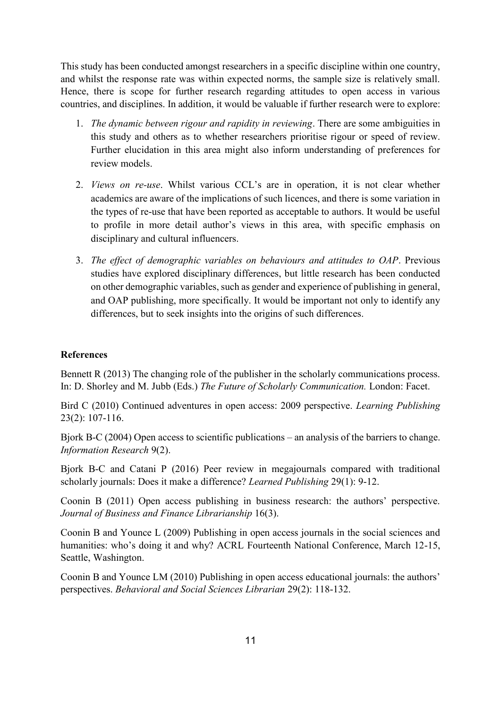This study has been conducted amongst researchers in a specific discipline within one country, and whilst the response rate was within expected norms, the sample size is relatively small. Hence, there is scope for further research regarding attitudes to open access in various countries, and disciplines. In addition, it would be valuable if further research were to explore:

- 1. *The dynamic between rigour and rapidity in reviewing*. There are some ambiguities in this study and others as to whether researchers prioritise rigour or speed of review. Further elucidation in this area might also inform understanding of preferences for review models.
- 2. *Views on re-use*. Whilst various CCL's are in operation, it is not clear whether academics are aware of the implications of such licences, and there is some variation in the types of re-use that have been reported as acceptable to authors. It would be useful to profile in more detail author's views in this area, with specific emphasis on disciplinary and cultural influencers.
- 3. *The effect of demographic variables on behaviours and attitudes to OAP*. Previous studies have explored disciplinary differences, but little research has been conducted on other demographic variables, such as gender and experience of publishing in general, and OAP publishing, more specifically. It would be important not only to identify any differences, but to seek insights into the origins of such differences.

## **References**

Bennett R (2013) The changing role of the publisher in the scholarly communications process. In: D. Shorley and M. Jubb (Eds.) *The Future of Scholarly Communication.* London: Facet.

Bird C (2010) Continued adventures in open access: 2009 perspective. *Learning Publishing* 23(2): 107-116.

Bjork B-C (2004) Open access to scientific publications – an analysis of the barriers to change. *Information Research* 9(2).

Bjork B-C and Catani P (2016) Peer review in megajournals compared with traditional scholarly journals: Does it make a difference? *Learned Publishing* 29(1): 9-12.

Coonin B (2011) Open access publishing in business research: the authors' perspective. *Journal of Business and Finance Librarianship* 16(3).

Coonin B and Younce L (2009) Publishing in open access journals in the social sciences and humanities: who's doing it and why? ACRL Fourteenth National Conference, March 12-15, Seattle, Washington.

Coonin B and Younce LM (2010) Publishing in open access educational journals: the authors' perspectives. *Behavioral and Social Sciences Librarian* 29(2): 118-132.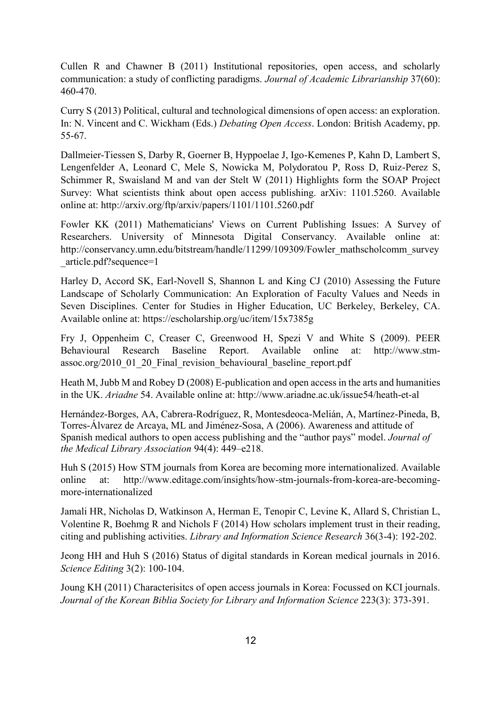Cullen R and Chawner B (2011) Institutional repositories, open access, and scholarly communication: a study of conflicting paradigms. *Journal of Academic Librarianship* 37(60): 460-470.

Curry S (2013) Political, cultural and technological dimensions of open access: an exploration. In: N. Vincent and C. Wickham (Eds.) *Debating Open Access*. London: British Academy, pp. 55-67.

Dallmeier-Tiessen S, Darby R, Goerner B, Hyppoelae J, Igo-Kemenes P, Kahn D, Lambert S, Lengenfelder A, Leonard C, Mele S, Nowicka M, Polydoratou P, Ross D, Ruiz-Perez S, Schimmer R, Swaisland M and van der Stelt W (2011) Highlights form the SOAP Project Survey: What scientists think about open access publishing. arXiv: 1101.5260. Available online at: http://arxiv.org/ftp/arxiv/papers/1101/1101.5260.pdf

Fowler KK (2011) Mathematicians' Views on Current Publishing Issues: A Survey of Researchers. University of Minnesota Digital Conservancy. Available online at: http://conservancy.umn.edu/bitstream/handle/11299/109309/Fowler\_mathscholcomm\_survey \_article.pdf?sequence=1

Harley D, Accord SK, Earl-Novell S, Shannon L and King CJ (2010) Assessing the Future Landscape of Scholarly Communication: An Exploration of Faculty Values and Needs in Seven Disciplines. Center for Studies in Higher Education, UC Berkeley, Berkeley, CA. Available online at: https://escholarship.org/uc/item/15x7385g

Fry J, Oppenheim C, Creaser C, Greenwood H, Spezi V and White S (2009). PEER Behavioural Research Baseline Report. Available online at: http://www.stmassoc.org/2010\_01\_20\_Final\_revision\_behavioural\_baseline\_report.pdf

Heath M, Jubb M and Robey D (2008) E-publication and open access in the arts and humanities in the UK. *Ariadne* 54. Available online at: http://www.ariadne.ac.uk/issue54/heath-et-al

Hernández-Borges, AA, Cabrera-Rodríguez, R, Montesdeoca-Melián, A, Martínez-Pineda, B, Torres-Álvarez de Arcaya, ML and Jiménez-Sosa, A (2006). Awareness and attitude of Spanish medical authors to open access publishing and the "author pays" model. *Journal of the Medical Library Association* 94(4): 449–e218.

Huh S (2015) How STM journals from Korea are becoming more internationalized. Available online at: [http://www.editage.com/insights/how-stm-journals-from-korea-are-becoming](http://www.editage.com/insights/how-stm-journals-from-korea-are-becoming-more-internationalized)[more-internationalized](http://www.editage.com/insights/how-stm-journals-from-korea-are-becoming-more-internationalized)

Jamali HR, Nicholas D, Watkinson A, Herman E, Tenopir C, Levine K, Allard S, Christian L, Volentine R, Boehmg R and Nichols F (2014) How scholars implement trust in their reading, citing and publishing activities. *Library and Information Science Research* 36(3-4): 192-202.

Jeong HH and Huh S (2016) Status of digital standards in Korean medical journals in 2016. *Science Editing* 3(2): 100-104.

Joung KH (2011) Characterisitcs of open access journals in Korea: Focussed on KCI journals. *Journal of the Korean Biblia Society for Library and Information Science* 223(3): 373-391.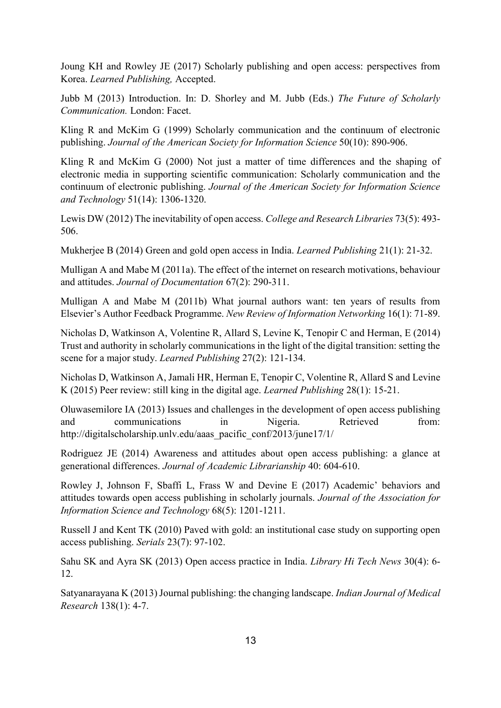Joung KH and Rowley JE (2017) Scholarly publishing and open access: perspectives from Korea. *Learned Publishing,* Accepted.

Jubb M (2013) Introduction. In: D. Shorley and M. Jubb (Eds.) *The Future of Scholarly Communication.* London: Facet.

Kling R and McKim G (1999) Scholarly communication and the continuum of electronic publishing. *Journal of the American Society for Information Science* 50(10): 890-906.

Kling R and McKim G (2000) Not just a matter of time differences and the shaping of electronic media in supporting scientific communication: Scholarly communication and the continuum of electronic publishing. *Journal of the American Society for Information Science and Technology* 51(14): 1306-1320.

Lewis DW (2012) The inevitability of open access. *College and Research Libraries* 73(5): 493- 506.

Mukherjee B (2014) Green and gold open access in India. *Learned Publishing* 21(1): 21-32.

Mulligan A and Mabe M (2011a). The effect of the internet on research motivations, behaviour and attitudes. *Journal of Documentation* 67(2): 290-311.

Mulligan A and Mabe M (2011b) What journal authors want: ten years of results from Elsevier's Author Feedback Programme. *New Review of Information Networking* 16(1): 71-89.

Nicholas D, Watkinson A, Volentine R, Allard S, Levine K, Tenopir C and Herman, E (2014) Trust and authority in scholarly communications in the light of the digital transition: setting the scene for a major study. *Learned Publishing* 27(2): 121-134.

Nicholas D, Watkinson A, Jamali HR, Herman E, Tenopir C, Volentine R, Allard S and Levine K (2015) Peer review: still king in the digital age. *Learned Publishing* 28(1): 15-21.

Oluwasemilore IA (2013) Issues and challenges in the development of open access publishing and communications in Nigeria. Retrieved from: http://digitalscholarship.unlv.edu/aaas\_pacific\_conf/2013/june17/1/

Rodriguez JE (2014) Awareness and attitudes about open access publishing: a glance at generational differences. *Journal of Academic Librarianship* 40: 604-610.

Rowley J, Johnson F, Sbaffi L, Frass W and Devine E (2017) Academic' behaviors and attitudes towards open access publishing in scholarly journals. *Journal of the Association for Information Science and Technology* 68(5): 1201-1211.

Russell J and Kent TK (2010) Paved with gold: an institutional case study on supporting open access publishing. *Serials* 23(7): 97-102.

Sahu SK and Ayra SK (2013) Open access practice in India. *Library Hi Tech News* 30(4): 6- 12.

Satyanarayana K (2013) Journal publishing: the changing landscape. *Indian Journal of Medical Research* 138(1): 4-7.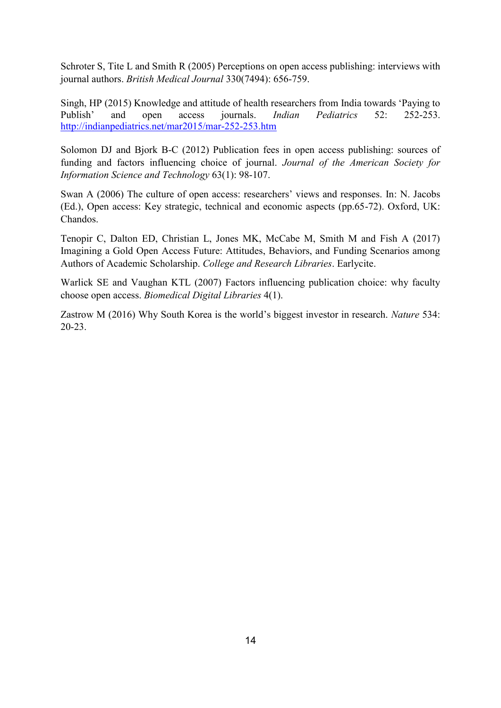Schroter S, Tite L and Smith R (2005) Perceptions on open access publishing: interviews with journal authors. *British Medical Journal* 330(7494): 656-759.

Singh, HP (2015) Knowledge and attitude of health researchers from India towards 'Paying to Publish' and open access journals. *Indian Pediatrics* 52: 252-253. <http://indianpediatrics.net/mar2015/mar-252-253.htm>

Solomon DJ and Bjork B-C (2012) Publication fees in open access publishing: sources of funding and factors influencing choice of journal. *Journal of the American Society for Information Science and Technology* 63(1): 98-107.

Swan A (2006) The culture of open access: researchers' views and responses. In: N. Jacobs (Ed.), Open access: Key strategic, technical and economic aspects (pp.65-72). Oxford, UK: Chandos.

Tenopir C, Dalton ED, Christian L, Jones MK, McCabe M, Smith M and Fish A (2017) Imagining a Gold Open Access Future: Attitudes, Behaviors, and Funding Scenarios among Authors of Academic Scholarship. *College and Research Libraries*. Earlycite.

Warlick SE and Vaughan KTL (2007) Factors influencing publication choice: why faculty choose open access. *Biomedical Digital Libraries* 4(1).

Zastrow M (2016) Why South Korea is the world's biggest investor in research. *Nature* 534: 20-23.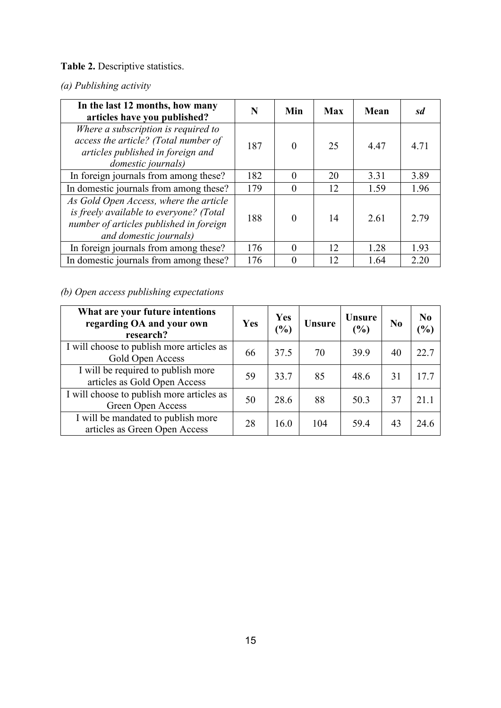# **Table 2.** Descriptive statistics.

## *(a) Publishing activity*

| In the last 12 months, how many<br>articles have you published?                                                                                        | N   | Min      | <b>Max</b> | <b>Mean</b> | sd   |
|--------------------------------------------------------------------------------------------------------------------------------------------------------|-----|----------|------------|-------------|------|
| Where a subscription is required to<br>access the article? (Total number of<br>articles published in foreign and<br>domestic journals)                 | 187 | $\Omega$ | 25         | 4.47        | 4.71 |
| In foreign journals from among these?                                                                                                                  | 182 | $\Omega$ | 20         | 3.31        | 3.89 |
| In domestic journals from among these?                                                                                                                 | 179 | 0        | 12         | 1.59        | 1.96 |
| As Gold Open Access, where the article<br>is freely available to everyone? (Total<br>number of articles published in foreign<br>and domestic journals) | 188 | $\theta$ | 14         | 2.61        | 2.79 |
| In foreign journals from among these?                                                                                                                  | 176 | $\Omega$ | 12         | 1.28        | 1.93 |
| In domestic journals from among these?                                                                                                                 | 176 |          | 12         | 1.64        | 2.20 |

# *(b) Open access publishing expectations*

| What are your future intentions<br>regarding OA and your own<br>research? | Yes | Yes<br>$\frac{9}{6}$ | <b>Unsure</b> | <b>Unsure</b><br>(%) | N <sub>0</sub> | N <sub>0</sub><br>$\frac{9}{6}$ |
|---------------------------------------------------------------------------|-----|----------------------|---------------|----------------------|----------------|---------------------------------|
| I will choose to publish more articles as<br>Gold Open Access             | 66  | 37.5                 | 70            | 39.9                 | 40             | 22.7                            |
| I will be required to publish more<br>articles as Gold Open Access        | 59  | 33.7                 | 85            | 48.6                 | 31             | 17.7                            |
| I will choose to publish more articles as<br>Green Open Access            | 50  | 28.6                 | 88            | 50.3                 | 37             | 21.1                            |
| I will be mandated to publish more<br>articles as Green Open Access       | 28  | 16.0                 | 104           | 59.4                 | 43             | 24.6                            |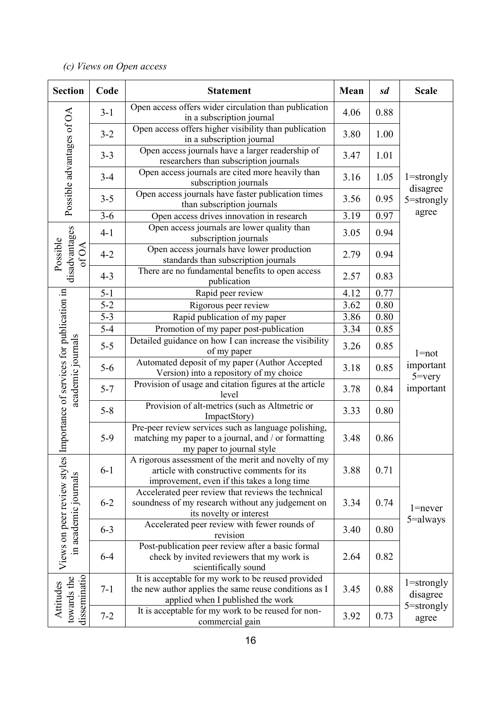# *(c) Views on Open access*

| <b>Section</b>                                      | Code                                                                      | <b>Statement</b>                                                                                                                                  | Mean | sd   | <b>Scale</b>                     |
|-----------------------------------------------------|---------------------------------------------------------------------------|---------------------------------------------------------------------------------------------------------------------------------------------------|------|------|----------------------------------|
|                                                     | $3-1$                                                                     | Open access offers wider circulation than publication<br>in a subscription journal                                                                | 4.06 | 0.88 |                                  |
| Possible advantages of OA                           | $3 - 2$                                                                   | Open access offers higher visibility than publication<br>in a subscription journal                                                                | 3.80 | 1.00 |                                  |
|                                                     | $3 - 3$                                                                   | Open access journals have a larger readership of<br>researchers than subscription journals                                                        | 3.47 | 1.01 |                                  |
|                                                     | $3 - 4$                                                                   | Open access journals are cited more heavily than<br>subscription journals                                                                         | 3.16 | 1.05 | $1 =$ strongly                   |
|                                                     | $3 - 5$                                                                   | Open access journals have faster publication times<br>than subscription journals                                                                  | 3.56 | 0.95 | disagree<br>5=strongly           |
|                                                     | $3 - 6$                                                                   | Open access drives innovation in research                                                                                                         | 3.19 | 0.97 | agree                            |
|                                                     | $4 - 1$                                                                   | Open access journals are lower quality than<br>subscription journals                                                                              | 3.05 | 0.94 |                                  |
| disadvantages<br>Possible<br>of OA                  | $4 - 2$                                                                   | Open access journals have lower production<br>standards than subscription journals                                                                | 2.79 | 0.94 |                                  |
|                                                     | $4 - 3$                                                                   | There are no fundamental benefits to open access<br>publication                                                                                   | 2.57 | 0.83 |                                  |
|                                                     | $5 - 1$                                                                   | Rapid peer review                                                                                                                                 | 4.12 | 0.77 |                                  |
|                                                     | $5 - 2$                                                                   | Rigorous peer review                                                                                                                              | 3.62 | 0.80 |                                  |
|                                                     | $5 - 3$                                                                   | Rapid publication of my paper                                                                                                                     | 3.86 | 0.80 |                                  |
|                                                     | $5 - 4$                                                                   | Promotion of my paper post-publication                                                                                                            | 3.34 | 0.85 |                                  |
| academic journals                                   | $5 - 5$                                                                   | Detailed guidance on how I can increase the visibility<br>of my paper                                                                             | 3.26 | 0.85 | $1 = not$                        |
|                                                     | $5-6$                                                                     | Automated deposit of my paper (Author Accepted<br>Version) into a repository of my choice                                                         | 3.18 | 0.85 | important<br>$5 = \nvert \nvert$ |
|                                                     | $5 - 7$                                                                   | Provision of usage and citation figures at the article<br>level                                                                                   | 3.78 | 0.84 | important                        |
| Importance of services for publication in           | Provision of alt-metrics (such as Altmetric or<br>$5 - 8$<br>ImpactStory) |                                                                                                                                                   | 3.33 | 0.80 |                                  |
|                                                     | $5-9$                                                                     | Pre-peer review services such as language polishing,<br>matching my paper to a journal, and / or formatting<br>my paper to journal style          | 3.48 | 0.86 |                                  |
|                                                     | $6 - 1$                                                                   | A rigorous assessment of the merit and novelty of my<br>article with constructive comments for its<br>improvement, even if this takes a long time | 3.88 | 0.71 |                                  |
| Views on peer review styles<br>in academic journals | $6 - 2$                                                                   | Accelerated peer review that reviews the technical<br>soundness of my research without any judgement on<br>its novelty or interest                |      | 0.74 | $1 =$ never                      |
|                                                     | $6 - 3$                                                                   | Accelerated peer review with fewer rounds of<br>revision                                                                                          | 3.40 | 0.80 | 5=always                         |
|                                                     | $6 - 4$                                                                   | Post-publication peer review after a basic formal<br>check by invited reviewers that my work is<br>scientifically sound                           | 2.64 | 0.82 |                                  |
| disseminatio<br>towards the<br>Attitudes            | $7 - 1$                                                                   | It is acceptable for my work to be reused provided<br>the new author applies the same reuse conditions as I<br>applied when I published the work  | 3.45 | 0.88 | $1 =$ strongly<br>disagree       |
|                                                     | $7 - 2$                                                                   | It is acceptable for my work to be reused for non-<br>commercial gain                                                                             | 3.92 | 0.73 | $5 =$ strongly<br>agree          |